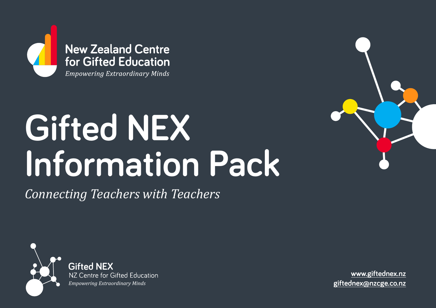

**New Zealand Centre** for Gifted Education

**Empowering Extraordinary Minds** 

# **Gifted NEX Information Pack**

*Connecting Teachers with Teachers*



**Gifted NEX**<br>NZ Centre for Gifted Education *Empowering Extraordinary Minds*

**www.[giftednex.nz](https://www.nzcge.nz/gifted-nex) [giftednex@nzcge.co.nz](mailto:giftednex%40nzcge.co%20nz?subject=)**

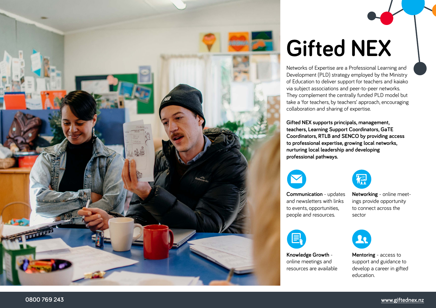

# **Gifted NEX**

Networks of Expertise are a Professional Learning and Development (PLD) strategy employed by the Ministry of Education to deliver support for teachers and kaiako via subject associations and peer-to-peer networks. They complement the centrally funded PLD model but take a 'for teachers, by teachers' approach, encouraging collaboration and sharing of expertise.

**Gifted NEX supports principals, management, teachers, Learning Support Coordinators, GaTE Coordinators, RTLB and SENCO by providing access to professional expertise, growing local networks, nurturing local leadership and developing professional pathways.**





**Communication** - updates and newsletters with links to events, opportunities, people and resources.

**Knowledge Growth** online meetings and resources are available

**Networking** - online meet ings provide opportunity to connect across the sector

21

**Mentoring** - access to support and guidance to develop a career in gifted education.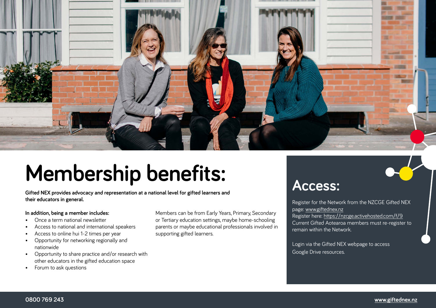

# **Membership benefits:**

**Gifted NEX provides advocacy and representation at a national level for gifted learners and their educators in general.**

#### **In addition, being a member includes:**

- Once a term national newsletter
- Access to national and international speakers
- Access to online hui 1-2 times per year
- Opportunity for networking regionally and nationwide
- Opportunity to share practice and/or research with other educators in the gifted education space
- Forum to ask questions

Members can be from Early Years, Primary, Secondary or Tertiary education settings, maybe home-schooling parents or maybe educational professionals involved in supporting gifted learners.

### **Access:**

Register for the Network from the NZCGE Gifted NEX page: [www.giftednex.nz](https://www.nzcge.nz/gifted-nex) Register here:<https://nzcge.activehosted.com/f/9> Current Gifted Aotearoa members must re-register to remain within the Network.

Login via the Gifted NEX webpage to access Google Drive resources.

#### **0800 769 243 [www.giftednex.nz](https://www.nzcge.nz/gifted-nex)**